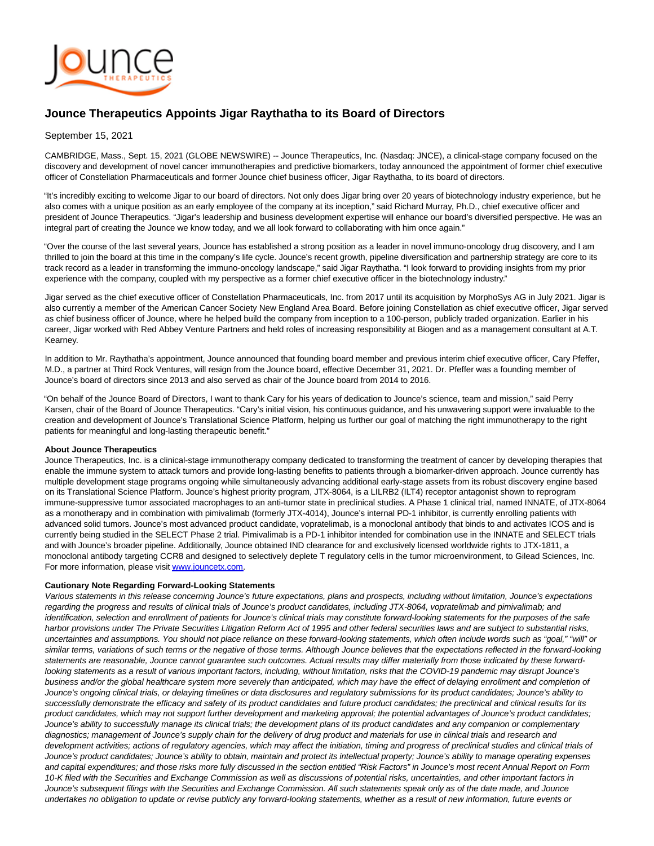

# **Jounce Therapeutics Appoints Jigar Raythatha to its Board of Directors**

### September 15, 2021

CAMBRIDGE, Mass., Sept. 15, 2021 (GLOBE NEWSWIRE) -- Jounce Therapeutics, Inc. (Nasdaq: JNCE), a clinical-stage company focused on the discovery and development of novel cancer immunotherapies and predictive biomarkers, today announced the appointment of former chief executive officer of Constellation Pharmaceuticals and former Jounce chief business officer, Jigar Raythatha, to its board of directors.

"It's incredibly exciting to welcome Jigar to our board of directors. Not only does Jigar bring over 20 years of biotechnology industry experience, but he also comes with a unique position as an early employee of the company at its inception," said Richard Murray, Ph.D., chief executive officer and president of Jounce Therapeutics. "Jigar's leadership and business development expertise will enhance our board's diversified perspective. He was an integral part of creating the Jounce we know today, and we all look forward to collaborating with him once again."

"Over the course of the last several years, Jounce has established a strong position as a leader in novel immuno-oncology drug discovery, and I am thrilled to join the board at this time in the company's life cycle. Jounce's recent growth, pipeline diversification and partnership strategy are core to its track record as a leader in transforming the immuno-oncology landscape," said Jigar Raythatha. "I look forward to providing insights from my prior experience with the company, coupled with my perspective as a former chief executive officer in the biotechnology industry."

Jigar served as the chief executive officer of Constellation Pharmaceuticals, Inc. from 2017 until its acquisition by MorphoSys AG in July 2021. Jigar is also currently a member of the American Cancer Society New England Area Board. Before joining Constellation as chief executive officer, Jigar served as chief business officer of Jounce, where he helped build the company from inception to a 100-person, publicly traded organization. Earlier in his career, Jigar worked with Red Abbey Venture Partners and held roles of increasing responsibility at Biogen and as a management consultant at A.T. Kearney.

In addition to Mr. Raythatha's appointment, Jounce announced that founding board member and previous interim chief executive officer, Cary Pfeffer, M.D., a partner at Third Rock Ventures, will resign from the Jounce board, effective December 31, 2021. Dr. Pfeffer was a founding member of Jounce's board of directors since 2013 and also served as chair of the Jounce board from 2014 to 2016.

"On behalf of the Jounce Board of Directors, I want to thank Cary for his years of dedication to Jounce's science, team and mission," said Perry Karsen, chair of the Board of Jounce Therapeutics. "Cary's initial vision, his continuous guidance, and his unwavering support were invaluable to the creation and development of Jounce's Translational Science Platform, helping us further our goal of matching the right immunotherapy to the right patients for meaningful and long-lasting therapeutic benefit."

#### **About Jounce Therapeutics**

Jounce Therapeutics, Inc. is a clinical-stage immunotherapy company dedicated to transforming the treatment of cancer by developing therapies that enable the immune system to attack tumors and provide long-lasting benefits to patients through a biomarker-driven approach. Jounce currently has multiple development stage programs ongoing while simultaneously advancing additional early-stage assets from its robust discovery engine based on its Translational Science Platform. Jounce's highest priority program, JTX-8064, is a LILRB2 (ILT4) receptor antagonist shown to reprogram immune-suppressive tumor associated macrophages to an anti-tumor state in preclinical studies. A Phase 1 clinical trial, named INNATE, of JTX-8064 as a monotherapy and in combination with pimivalimab (formerly JTX-4014), Jounce's internal PD-1 inhibitor, is currently enrolling patients with advanced solid tumors. Jounce's most advanced product candidate, vopratelimab, is a monoclonal antibody that binds to and activates ICOS and is currently being studied in the SELECT Phase 2 trial. Pimivalimab is a PD-1 inhibitor intended for combination use in the INNATE and SELECT trials and with Jounce's broader pipeline. Additionally, Jounce obtained IND clearance for and exclusively licensed worldwide rights to JTX-1811, a monoclonal antibody targeting CCR8 and designed to selectively deplete T regulatory cells in the tumor microenvironment, to Gilead Sciences, Inc. For more information, please visi[t www.jouncetx.com.](https://www.globenewswire.com/Tracker?data=E_dPElxb-dxuZTI_a2EWK8YPEEzLjHWUHjqknzhDcRX4r66PC1h3bGFxEBVbAAR1jNxS-BmMuURfOB4gRf19IA==)

#### **Cautionary Note Regarding Forward-Looking Statements**

Various statements in this release concerning Jounce's future expectations, plans and prospects, including without limitation, Jounce's expectations regarding the progress and results of clinical trials of Jounce's product candidates, including JTX-8064, vopratelimab and pimivalimab; and identification, selection and enrollment of patients for Jounce's clinical trials may constitute forward-looking statements for the purposes of the safe harbor provisions under The Private Securities Litigation Reform Act of 1995 and other federal securities laws and are subject to substantial risks, uncertainties and assumptions. You should not place reliance on these forward-looking statements, which often include words such as "goal," "will" or similar terms, variations of such terms or the negative of those terms. Although Jounce believes that the expectations reflected in the forward-looking statements are reasonable, Jounce cannot guarantee such outcomes. Actual results may differ materially from those indicated by these forwardlooking statements as a result of various important factors, including, without limitation, risks that the COVID-19 pandemic may disrupt Jounce's business and/or the global healthcare system more severely than anticipated, which may have the effect of delaying enrollment and completion of Jounce's ongoing clinical trials, or delaying timelines or data disclosures and regulatory submissions for its product candidates; Jounce's ability to successfully demonstrate the efficacy and safety of its product candidates and future product candidates; the preclinical and clinical results for its product candidates, which may not support further development and marketing approval; the potential advantages of Jounce's product candidates; Jounce's ability to successfully manage its clinical trials; the development plans of its product candidates and any companion or complementary diagnostics; management of Jounce's supply chain for the delivery of drug product and materials for use in clinical trials and research and development activities; actions of regulatory agencies, which may affect the initiation, timing and progress of preclinical studies and clinical trials of Jounce's product candidates; Jounce's ability to obtain, maintain and protect its intellectual property; Jounce's ability to manage operating expenses and capital expenditures; and those risks more fully discussed in the section entitled "Risk Factors" in Jounce's most recent Annual Report on Form 10-K filed with the Securities and Exchange Commission as well as discussions of potential risks, uncertainties, and other important factors in Jounce's subsequent filings with the Securities and Exchange Commission. All such statements speak only as of the date made, and Jounce undertakes no obligation to update or revise publicly any forward-looking statements, whether as a result of new information, future events or